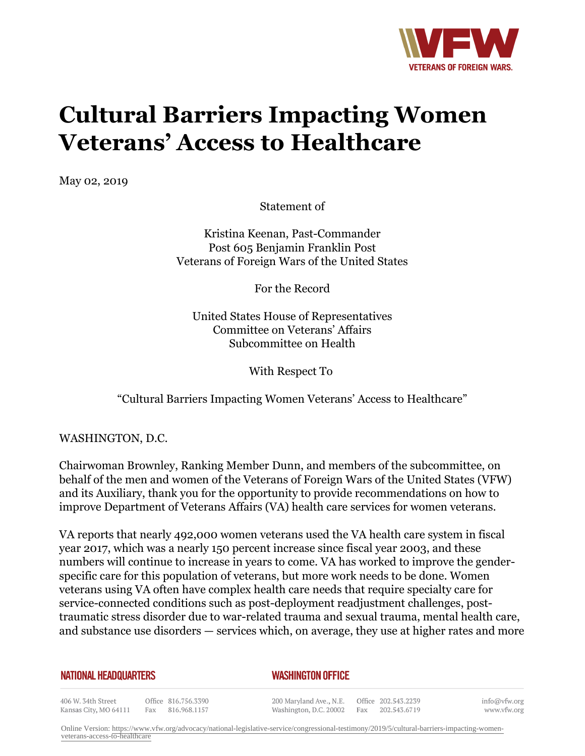

## **Cultural Barriers Impacting Women Veterans' Access to Healthcare**

May 02, 2019

Statement of

Kristina Keenan, Past-Commander Post 605 Benjamin Franklin Post Veterans of Foreign Wars of the United States

For the Record

United States House of Representatives Committee on Veterans' Affairs Subcommittee on Health

With Respect To

"Cultural Barriers Impacting Women Veterans' Access to Healthcare"

WASHINGTON, D.C.

Chairwoman Brownley, Ranking Member Dunn, and members of the subcommittee, on behalf of the men and women of the Veterans of Foreign Wars of the United States (VFW) and its Auxiliary, thank you for the opportunity to provide recommendations on how to improve Department of Veterans Affairs (VA) health care services for women veterans.

VA reports that nearly 492,000 women veterans used the VA health care system in fiscal year 2017, which was a nearly 150 percent increase since fiscal year 2003, and these numbers will continue to increase in years to come. VA has worked to improve the genderspecific care for this population of veterans, but more work needs to be done. Women veterans using VA often have complex health care needs that require specialty care for service-connected conditions such as post-deployment readjustment challenges, posttraumatic stress disorder due to war-related trauma and sexual trauma, mental health care, and substance use disorders — services which, on average, they use at higher rates and more

## **NATIONAL HEADQUARTERS**

## *WASHINGTON OFFICE*

406 W. 34th Street Office 816.756.3390 Fax 816.968.1157 Kansas City, MO 64111

200 Maryland Ave., N.E. Washington, D.C. 20002

Office 202.543.2239 Fax 202.543.6719 info@vfw.org www.vfw.org

Online Version: [https://www.vfw.org/advocacy/national-legislative-service/congressional-testimony/2019/5/cultural-barriers-impacting-women](https://www.vfw.org/advocacy/national-legislative-service/congressional-testimony/2019/5/cultural-barriers-impacting-women-veterans-access-to-healthcare)[veterans-access-to-healthcare](https://www.vfw.org/advocacy/national-legislative-service/congressional-testimony/2019/5/cultural-barriers-impacting-women-veterans-access-to-healthcare)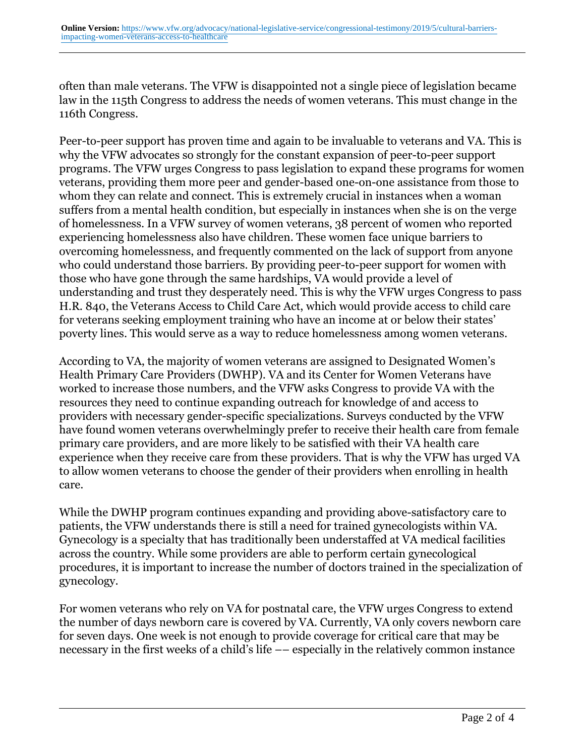often than male veterans. The VFW is disappointed not a single piece of legislation became law in the 115th Congress to address the needs of women veterans. This must change in the 116th Congress.

Peer-to-peer support has proven time and again to be invaluable to veterans and VA. This is why the VFW advocates so strongly for the constant expansion of peer-to-peer support programs. The VFW urges Congress to pass legislation to expand these programs for women veterans, providing them more peer and gender-based one-on-one assistance from those to whom they can relate and connect. This is extremely crucial in instances when a woman suffers from a mental health condition, but especially in instances when she is on the verge of homelessness. In a VFW survey of women veterans, 38 percent of women who reported experiencing homelessness also have children. These women face unique barriers to overcoming homelessness, and frequently commented on the lack of support from anyone who could understand those barriers. By providing peer-to-peer support for women with those who have gone through the same hardships, VA would provide a level of understanding and trust they desperately need. This is why the VFW urges Congress to pass H.R. 840, the Veterans Access to Child Care Act, which would provide access to child care for veterans seeking employment training who have an income at or below their states' poverty lines. This would serve as a way to reduce homelessness among women veterans.

According to VA, the majority of women veterans are assigned to Designated Women's Health Primary Care Providers (DWHP). VA and its Center for Women Veterans have worked to increase those numbers, and the VFW asks Congress to provide VA with the resources they need to continue expanding outreach for knowledge of and access to providers with necessary gender-specific specializations. Surveys conducted by the VFW have found women veterans overwhelmingly prefer to receive their health care from female primary care providers, and are more likely to be satisfied with their VA health care experience when they receive care from these providers. That is why the VFW has urged VA to allow women veterans to choose the gender of their providers when enrolling in health care.

While the DWHP program continues expanding and providing above-satisfactory care to patients, the VFW understands there is still a need for trained gynecologists within VA. Gynecology is a specialty that has traditionally been understaffed at VA medical facilities across the country. While some providers are able to perform certain gynecological procedures, it is important to increase the number of doctors trained in the specialization of gynecology.

For women veterans who rely on VA for postnatal care, the VFW urges Congress to extend the number of days newborn care is covered by VA. Currently, VA only covers newborn care for seven days. One week is not enough to provide coverage for critical care that may be necessary in the first weeks of a child's life –– especially in the relatively common instance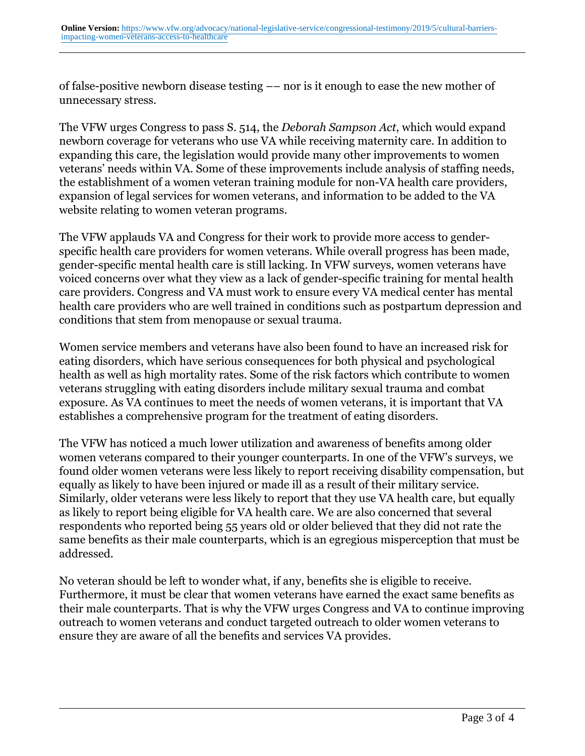of false-positive newborn disease testing –– nor is it enough to ease the new mother of unnecessary stress.

The VFW urges Congress to pass S. 514, the *Deborah Sampson Act*, which would expand newborn coverage for veterans who use VA while receiving maternity care. In addition to expanding this care, the legislation would provide many other improvements to women veterans' needs within VA. Some of these improvements include analysis of staffing needs, the establishment of a women veteran training module for non-VA health care providers, expansion of legal services for women veterans, and information to be added to the VA website relating to women veteran programs.

The VFW applauds VA and Congress for their work to provide more access to genderspecific health care providers for women veterans. While overall progress has been made, gender-specific mental health care is still lacking. In VFW surveys, women veterans have voiced concerns over what they view as a lack of gender-specific training for mental health care providers. Congress and VA must work to ensure every VA medical center has mental health care providers who are well trained in conditions such as postpartum depression and conditions that stem from menopause or sexual trauma.

Women service members and veterans have also been found to have an increased risk for eating disorders, which have serious consequences for both physical and psychological health as well as high mortality rates. Some of the risk factors which contribute to women veterans struggling with eating disorders include military sexual trauma and combat exposure. As VA continues to meet the needs of women veterans, it is important that VA establishes a comprehensive program for the treatment of eating disorders.

The VFW has noticed a much lower utilization and awareness of benefits among older women veterans compared to their younger counterparts. In one of the VFW's surveys, we found older women veterans were less likely to report receiving disability compensation, but equally as likely to have been injured or made ill as a result of their military service. Similarly, older veterans were less likely to report that they use VA health care, but equally as likely to report being eligible for VA health care. We are also concerned that several respondents who reported being 55 years old or older believed that they did not rate the same benefits as their male counterparts, which is an egregious misperception that must be addressed.

No veteran should be left to wonder what, if any, benefits she is eligible to receive. Furthermore, it must be clear that women veterans have earned the exact same benefits as their male counterparts. That is why the VFW urges Congress and VA to continue improving outreach to women veterans and conduct targeted outreach to older women veterans to ensure they are aware of all the benefits and services VA provides.